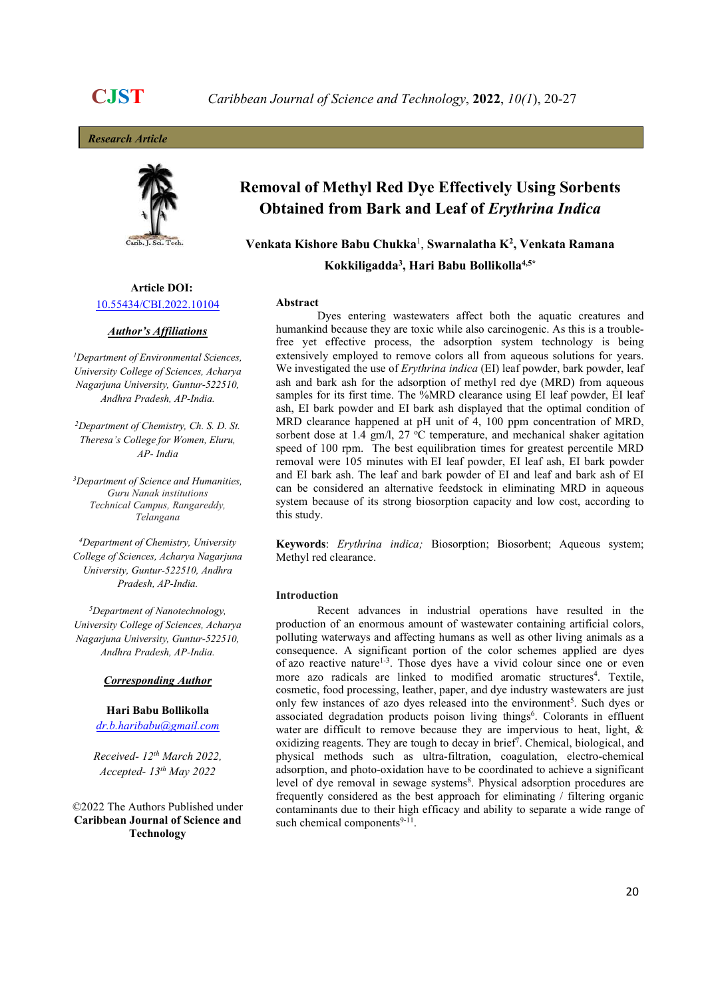**Research Article** 



# Article DOI: 10.55434/CBI.2022.10104

### Author's Affiliations

<sup>1</sup>Department of Environmental Sciences, University College of Sciences, Acharya Nagarjuna University, Guntur-522510, Andhra Pradesh, AP-India.<br><sup>2</sup>Department of Chemistry, Ch. S. D. St.

Theresa's College for Women, Eluru,

<sup>3</sup>Department of Science and Humanities, Guru Nanak institutions Technical Campus, Rangareddy, Telangana<br><sup>4</sup>Department of Chemistry, University

College of Sciences, Acharya Nagarjuna University, Guntur-522510, Andhra Pradesh, AP-India.<br><sup>5</sup>Department of Nanotechnology,

University College of Sciences, Acharya Nagarjuna University, Guntur-522510, Andhra Pradesh, AP-India.

## Corresponding Author

Hari Babu Bollikolla dr.b.haribabu@gmail.com

Received- 12<sup>th</sup> March 2022, Accepted- 13<sup>th</sup> May 2022

Technology ©2022 The Authors Published under Caribbean Journal of Science and

# Removal of Methyl Red Dye Effectively Using Sorbents Obtained from Bark and Leaf of Erythrina Indica

Venkata Kishore Babu Chukka $^{\rm l}$ , Swarnalatha K $^{\rm 2}$ , Venkata Ramana Kokkiligadda3 , Hari Babu Bollikolla4,5\*

### Abstract

Dyes entering wastewaters affect both the aquatic creatures and humankind because they are toxic while also carcinogenic. As this is a troublefree yet effective process, the adsorption system technology is being extensively employed to remove colors all from aqueous solutions for years. We investigated the use of Erythrina indica (EI) leaf powder, bark powder, leaf ash and bark ash for the adsorption of methyl red dye (MRD) from aqueous samples for its first time. The %MRD clearance using EI leaf powder, EI leaf ash, EI bark powder and EI bark ash displayed that the optimal condition of MRD clearance happened at pH unit of 4, 100 ppm concentration of MRD, sorbent dose at 1.4 gm/l, 27  $\rm{^{\circ}C}$  temperature, and mechanical shaker agitation speed of 100 rpm. The best equilibration times for greatest percentile MRD removal were 105 minutes with EI leaf powder, EI leaf ash, EI bark powder and EI bark ash. The leaf and bark powder of EI and leaf and bark ash of EI can be considered an alternative feedstock in eliminating MRD in aqueous system because of its strong biosorption capacity and low cost, according to this study.

Keywords: Erythrina indica; Biosorption; Biosorbent; Aqueous system; Methyl red clearance.

### Introduction

Recent advances in industrial operations have resulted in the production of an enormous amount of wastewater containing artificial colors, polluting waterways and affecting humans as well as other living animals as a consequence. A significant portion of the color schemes applied are dyes of azo reactive nature<sup>1-3</sup>. Those dyes have a vivid colour since one or even more azo radicals are linked to modified aromatic structures<sup>4</sup>. Textile, cosmetic, food processing, leather, paper, and dye industry wastewaters are just only few instances of azo dyes released into the environment<sup>5</sup>. Such dyes or associated degradation products poison living things<sup>6</sup>. Colorants in effluent water are difficult to remove because they are impervious to heat, light, & oxidizing reagents. They are tough to decay in brief<sup>7</sup>. Chemical, biological, and physical methods such as ultra-filtration, coagulation, electro-chemical adsorption, and photo-oxidation have to be coordinated to achieve a significant level of dye removal in sewage systems<sup>8</sup>. Physical adsorption procedures are frequently considered as the best approach for eliminating / filtering organic contaminants due to their high efficacy and ability to separate a wide range of such chemical components $9-11$ . .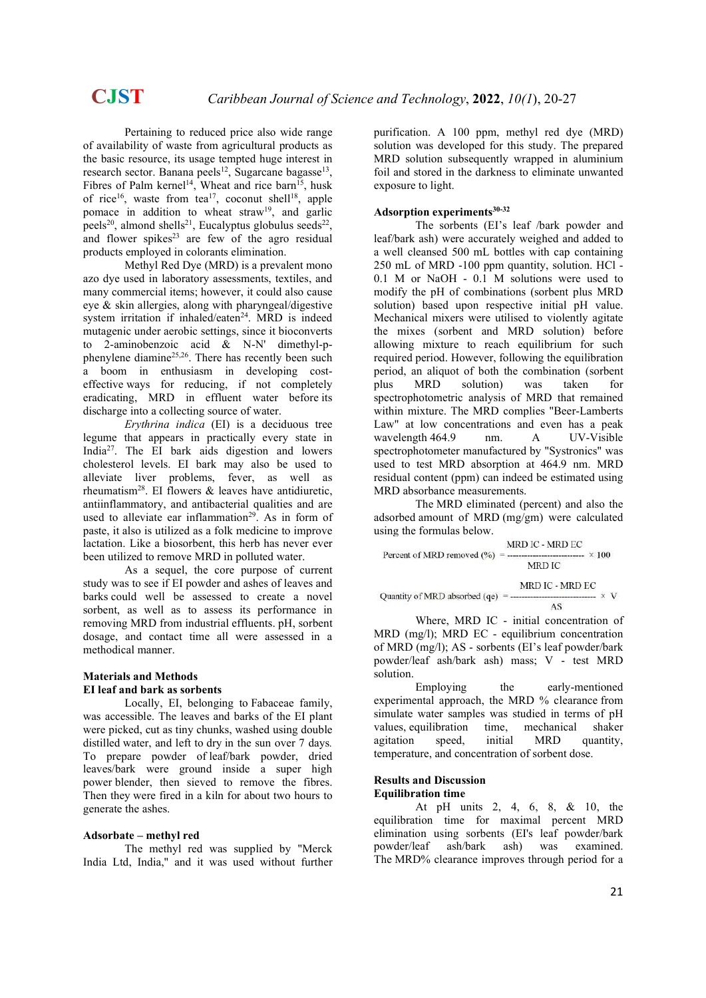Pertaining to reduced price also wide range of availability of waste from agricultural products as the basic resource, its usage tempted huge interest in research sector. Banana peels<sup>12</sup>, Sugarcane bagasse<sup>13</sup>, Fibres of Palm kernel<sup>14</sup>, Wheat and rice barn<sup>15</sup>, husk of rice<sup>16</sup>, waste from tea<sup>17</sup>, coconut shell<sup>18</sup>, apple pomace in addition to wheat straw<sup>19</sup>, and garlic peels<sup>20</sup>, almond shells<sup>21</sup>, Eucalyptus globulus seeds<sup>22</sup>, and flower spikes $23$  are few of the agro residual products employed in colorants elimination.

Methyl Red Dye (MRD) is a prevalent mono azo dye used in laboratory assessments, textiles, and many commercial items; however, it could also cause eye & skin allergies, along with pharyngeal/digestive system irritation if inhaled/eaten<sup>24</sup>. MRD is indeed mutagenic under aerobic settings, since it bioconverts to 2-aminobenzoic acid  $\&$  N-N' dimethyl-pphenylene diamine<sup>25,26</sup>. There has recently been such a boom in enthusiasm in developing costeffective ways for reducing, if not completely eradicating, MRD in effluent water before its discharge into a collecting source of water.

Erythrina indica (EI) is a deciduous tree legume that appears in practically every state in India<sup>27</sup>. The EI bark aids digestion and lowers cholesterol levels. EI bark may also be used to alleviate liver problems, fever, as well as rheumatism<sup>28</sup>. EI flowers  $\&$  leaves have antidiuretic, antiinflammatory, and antibacterial qualities and are used to alleviate ear inflammation<sup>29</sup>. As in form of paste, it also is utilized as a folk medicine to improve lactation. Like a biosorbent, this herb has never ever been utilized to remove MRD in polluted water.

As a sequel, the core purpose of current study was to see if EI powder and ashes of leaves and barks could well be assessed to create a novel sorbent, as well as to assess its performance in removing MRD from industrial effluents. pH, sorbent dosage, and contact time all were assessed in a methodical manner.

### Materials and Methods EI leaf and bark as sorbents

Locally, EI, belonging to Fabaceae family, was accessible. The leaves and barks of the EI plant were picked, cut as tiny chunks, washed using double distilled water, and left to dry in the sun over 7 days. To prepare powder of leaf/bark powder, dried leaves/bark were ground inside a super high power blender, then sieved to remove the fibres. Then they were fired in a kiln for about two hours to generate the ashes.

# Adsorbate – methyl red

The methyl red was supplied by "Merck India Ltd, India," and it was used without further purification. A 100 ppm, methyl red dye (MRD) solution was developed for this study. The prepared MRD solution subsequently wrapped in aluminium foil and stored in the darkness to eliminate unwanted exposure to light.

# Adsorption experiments<sup>30-32</sup>

The sorbents (EI's leaf /bark powder and leaf/bark ash) were accurately weighed and added to a well cleansed 500 mL bottles with cap containing 250 mL of MRD -100 ppm quantity, solution. HCl - 0.1 M or NaOH - 0.1 M solutions were used to modify the pH of combinations (sorbent plus MRD solution) based upon respective initial pH value. Mechanical mixers were utilised to violently agitate the mixes (sorbent and MRD solution) before allowing mixture to reach equilibrium for such required period. However, following the equilibration period, an aliquot of both the combination (sorbent plus MRD solution) was taken for spectrophotometric analysis of MRD that remained within mixture. The MRD complies "Beer-Lamberts Law" at low concentrations and even has a peak wavelength 464.9 nm. A UV-Visible spectrophotometer manufactured by "Systronics" was used to test MRD absorption at 464.9 nm. MRD residual content (ppm) can indeed be estimated using MRD absorbance measurements.

The MRD eliminated (percent) and also the adsorbed amount of MRD (mg/gm) were calculated using the formulas below.

$$
100 \text{ } \text{Percent of MRD removed} \text{ } (\%) = \frac{\text{MRD IC} - \text{MRD EC}}{\text{MRD IC}} \times 100
$$
\n
$$
\text{Quantity of MRD absorbed (qe)} = \frac{\text{MRD IC} - \text{MRD EC}}{\text{AS}} \times \text{ V}
$$

Where, MRD IC - initial concentration of MRD (mg/l); MRD EC - equilibrium concentration of MRD (mg/l); AS - sorbents (EI's leaf powder/bark powder/leaf ash/bark ash) mass; V - test MRD solution.

Employing the early-mentioned experimental approach, the MRD % clearance from simulate water samples was studied in terms of pH values, equilibration time, mechanical shaker agitation speed, initial MRD quantity, temperature, and concentration of sorbent dose.

### Results and Discussion Equilibration time

At pH units 2, 4, 6, 8, & 10, the equilibration time for maximal percent MRD elimination using sorbents (EI's leaf powder/bark powder/leaf ash/bark ash) was examined. The MRD% clearance improves through period for a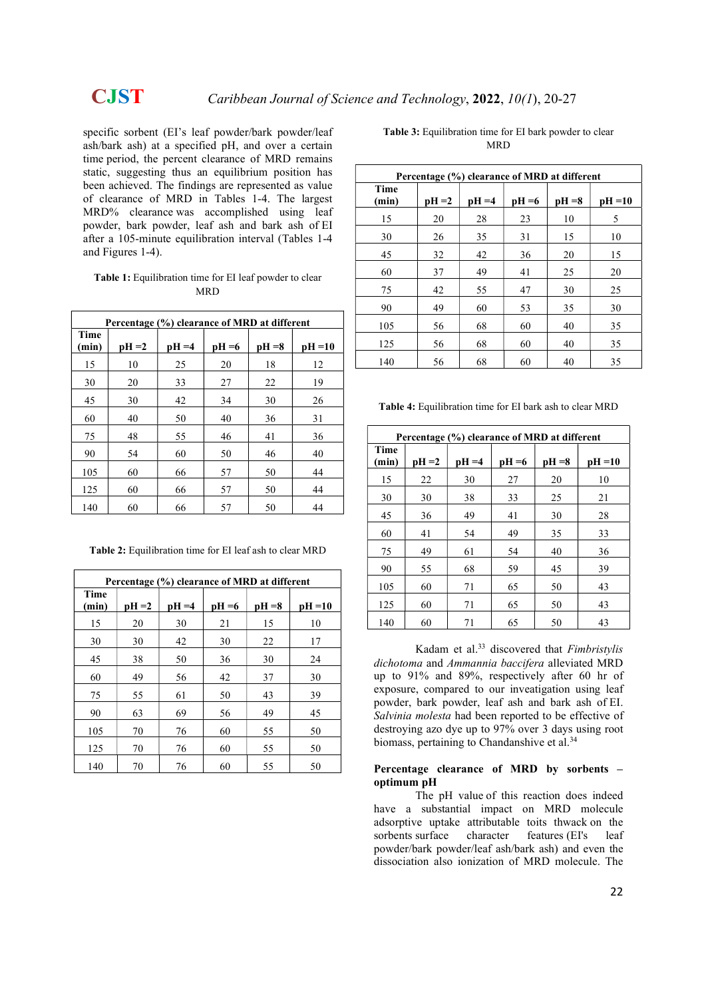specific sorbent (EI's leaf powder/bark powder/leaf ash/bark ash) at a specified pH, and over a certain time period, the percent clearance of MRD remains static, suggesting thus an equilibrium position has been achieved. The findings are represented as value of clearance of MRD in Tables 1-4. The largest MRD% clearance was accomplished using leaf powder, bark powder, leaf ash and bark ash of EI after a 105-minute equilibration interval (Tables 1-4 and Figures 1-4).

| <b>Table 1:</b> Equilibration time for EI leaf powder to clear |
|----------------------------------------------------------------|
| MRD                                                            |

|               | Percentage (%) clearance of MRD at different |          |          |          |           |  |  |  |
|---------------|----------------------------------------------|----------|----------|----------|-----------|--|--|--|
| Time<br>(min) | $pH = 2$                                     | $pH = 4$ | $pH = 6$ | $pH = 8$ | $pH = 10$ |  |  |  |
| 15            | 10                                           | 25       | 20       | 18       | 12        |  |  |  |
| 30            | 20                                           | 33       | 27       | 22       | 19        |  |  |  |
| 45            | 30                                           | 42       | 34       | 30       | 26        |  |  |  |
| 60            | 40                                           | 50       | 40       | 36       | 31        |  |  |  |
| 75            | 48                                           | 55       | 46       | 41       | 36        |  |  |  |
| 90            | 54                                           | 60       | 50       | 46       | 40        |  |  |  |
| 105           | 60                                           | 66       | 57       | 50       | 44        |  |  |  |
| 125           | 60                                           | 66       | 57       | 50       | 44        |  |  |  |
| 140           | 60                                           | 66       | 57       | 50       | 44        |  |  |  |

Table 2: Equilibration time for EI leaf ash to clear MRD

| Percentage (%) clearance of MRD at different |          |          |          |          |           |  |  |
|----------------------------------------------|----------|----------|----------|----------|-----------|--|--|
| Time<br>(min)                                | $pH = 2$ | $pH = 4$ | $pH = 6$ | $pH = 8$ | $pH = 10$ |  |  |
| 15                                           | 20       | 30       | 21       | 15       | 10        |  |  |
| 30                                           | 30       | 42       | 30       | 22       | 17        |  |  |
| 45                                           | 38       | 50       | 36       | 30       | 24        |  |  |
| 60                                           | 49       | 56       | 42       | 37       | 30        |  |  |
| 75                                           | 55       | 61       | 50       | 43       | 39        |  |  |
| 90                                           | 63       | 69       | 56       | 49       | 45        |  |  |
| 105                                          | 70       | 76       | 60       | 55       | 50        |  |  |
| 125                                          | 70       | 76       | 60       | 55       | 50        |  |  |
| 140                                          | 70       | 76       | 60       | 55       | 50        |  |  |

| <b>Table 3:</b> Equilibration time for EI bark powder to clear |
|----------------------------------------------------------------|
| MRD                                                            |

| Percentage (%) clearance of MRD at different |          |          |          |          |           |  |  |
|----------------------------------------------|----------|----------|----------|----------|-----------|--|--|
| Time<br>(min)                                | $pH = 2$ | $pH = 4$ | $pH = 6$ | $pH = 8$ | $pH = 10$ |  |  |
| 15                                           | 20       | 28       | 23       | 10       | 5         |  |  |
| 30                                           | 26       | 35       | 31       | 15       | 10        |  |  |
| 45                                           | 32       | 42       | 36       | 20       | 15        |  |  |
| 60                                           | 37       | 49       | 41       | 25       | 20        |  |  |
| 75                                           | 42       | 55       | 47       | 30       | 25        |  |  |
| 90                                           | 49       | 60       | 53       | 35       | 30        |  |  |
| 105                                          | 56       | 68       | 60       | 40       | 35        |  |  |
| 125                                          | 56       | 68       | 60       | 40       | 35        |  |  |
| 140                                          | 56       | 68       | 60       | 40       | 35        |  |  |

Table 4: Equilibration time for EI bark ash to clear MRD

| Percentage (%) clearance of MRD at different |          |          |          |          |           |  |  |
|----------------------------------------------|----------|----------|----------|----------|-----------|--|--|
| Time<br>(min)                                | $pH = 2$ | $pH = 4$ | $pH = 6$ | $pH = 8$ | $pH = 10$ |  |  |
| 15                                           | 22       | 30       | 27       | 20       | 10        |  |  |
| 30                                           | 30       | 38       | 33       | 25       | 21        |  |  |
| 45                                           | 36       | 49       | 41       | 30       | 28        |  |  |
| 60                                           | 41       | 54       | 49       | 35       | 33        |  |  |
| 75                                           | 49       | 61       | 54       | 40       | 36        |  |  |
| 90                                           | 55       | 68       | 59       | 45       | 39        |  |  |
| 105                                          | 60       | 71       | 65       | 50       | 43        |  |  |
| 125                                          | 60       | 71       | 65       | 50       | 43        |  |  |
| 140                                          | 60       | 71       | 65       | 50       | 43        |  |  |

Kadam et al.<sup>33</sup> discovered that Fimbristylis dichotoma and Ammannia baccifera alleviated MRD up to 91% and 89%, respectively after 60 hr of exposure, compared to our inveatigation using leaf powder, bark powder, leaf ash and bark ash of EI. Salvinia molesta had been reported to be effective of destroying azo dye up to 97% over 3 days using root biomass, pertaining to Chandanshive et al.<sup>34</sup>

### Percentage clearance of MRD by sorbents – optimum pH

The pH value of this reaction does indeed have a substantial impact on MRD molecule adsorptive uptake attributable toits thwack on the sorbents surface character features (EI's leaf powder/bark powder/leaf ash/bark ash) and even the dissociation also ionization of MRD molecule. The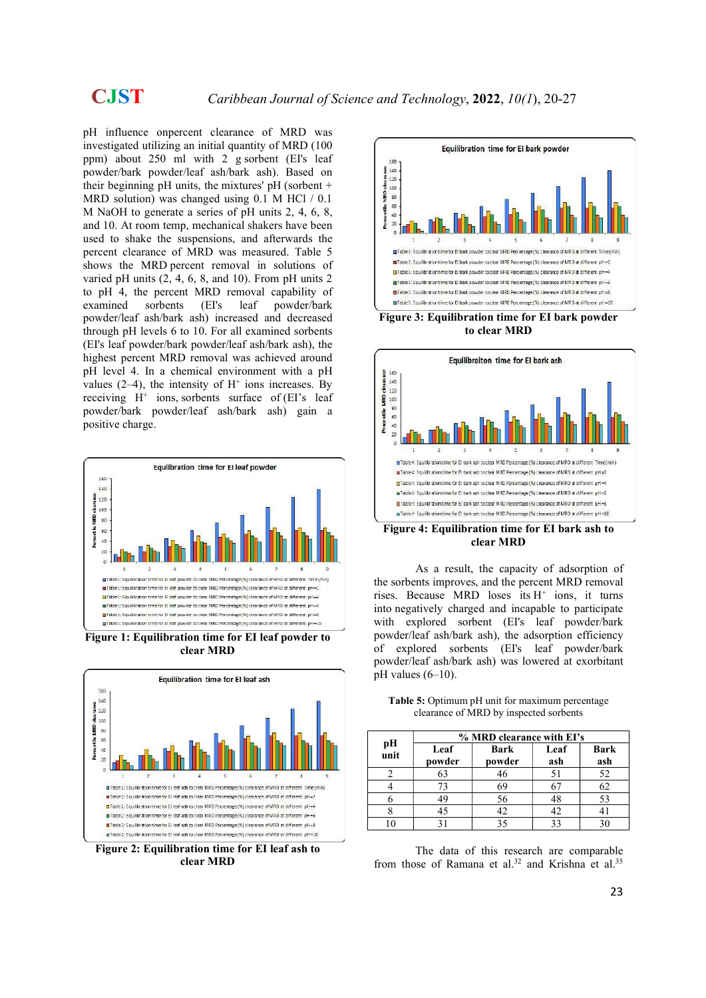pH influence onpercent clearance of MRD was investigated utilizing an initial quantity of MRD (100 ppm) about 250 ml with 2 g sorbent (EI's leaf powder/bark powder/leaf ash/bark ash). Based on their beginning pH units, the mixtures' pH (sorbent  $+$ MRD solution) was changed using 0.1 M HCl / 0.1 M NaOH to generate a series of pH units 2, 4, 6, 8, and 10. At room temp, mechanical shakers have been used to shake the suspensions, and afterwards the percent clearance of MRD was measured. Table 5 shows the MRD percent removal in solutions of varied pH units (2, 4, 6, 8, and 10). From pH units 2 to pH 4, the percent MRD removal capability of examined sorbents (EI's leaf powder/bark powder/leaf ash/bark ash) increased and decreased through pH levels 6 to 10. For all examined sorbents (EI's leaf powder/bark powder/leaf ash/bark ash), the highest percent MRD removal was achieved around pH level 4. In a chemical environment with a pH values  $(2-4)$ , the intensity of  $H^+$  ions increases. By receiving  $H^+$  ions, sorbents surface of (EI's leaf powder/bark powder/leaf ash/bark ash) gain a positive charge.



Figure 1: Equilibration time for EI leaf powder to clear MRD



clear MRD



to clear MRD



Figure 4: Equilibration time for EI bark ash to clear MRD

As a result, the capacity of adsorption of the sorbents improves, and the percent MRD removal rises. Because MRD loses its  $H^+$  ions, it turns into negatively charged and incapable to participate with explored sorbent (EI's leaf powder/bark powder/leaf ash/bark ash), the adsorption efficiency of explored sorbents (EI's leaf powder/bark powder/leaf ash/bark ash) was lowered at exorbitant  $pH$  values  $(6-10)$ .

|            | % MRD clearance with EI's |                |             |                    |  |  |  |
|------------|---------------------------|----------------|-------------|--------------------|--|--|--|
| pH<br>unit | Leaf<br>powder            | Bark<br>powder | Leaf<br>ash | <b>Bark</b><br>ash |  |  |  |
|            | 63                        | 46             | 51          | 52                 |  |  |  |
|            | 73                        | 69             |             | 62                 |  |  |  |
|            | 49                        | 56             |             | 53                 |  |  |  |
|            | 45                        | 42.            | 42          |                    |  |  |  |
|            |                           |                |             |                    |  |  |  |

Table 5: Optimum pH unit for maximum percentage clearance of MRD by inspected sorbents

The data of this research are comparable from those of Ramana et al.<sup>32</sup> and Krishna et al.<sup>35</sup>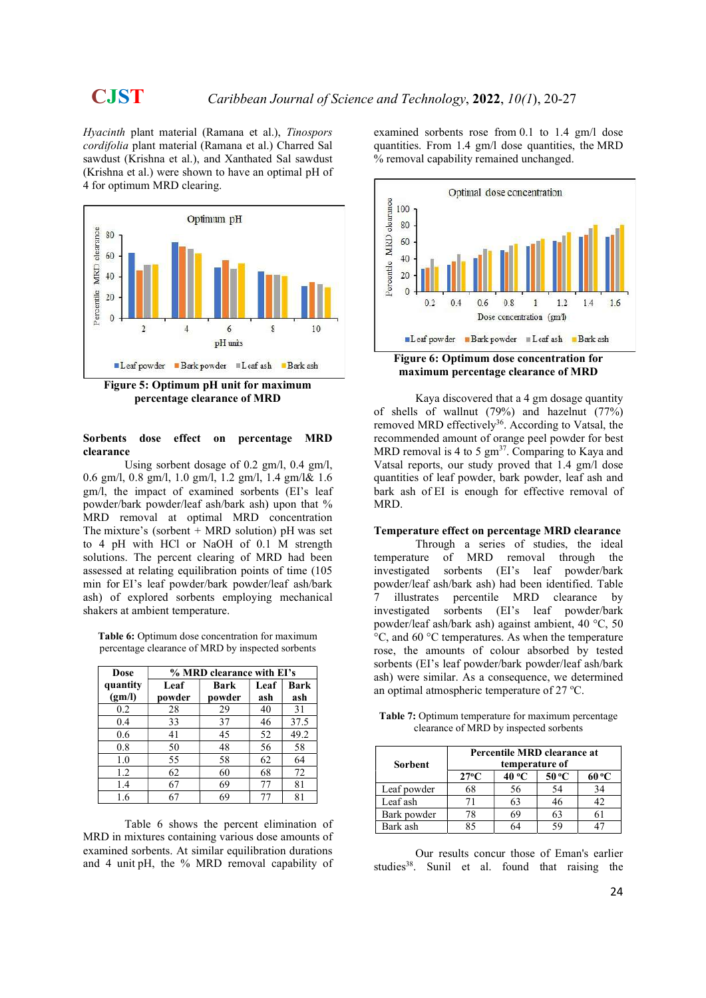Hyacinth plant material (Ramana et al.), Tinospors cordifolia plant material (Ramana et al.) Charred Sal sawdust (Krishna et al.), and Xanthated Sal sawdust (Krishna et al.) were shown to have an optimal pH of 4 for optimum MRD clearing.



Figure 5: Optimum pH unit for maximum percentage clearance of MRD

### Sorbents dose effect on percentage MRD clearance

Using sorbent dosage of 0.2 gm/l, 0.4 gm/l, 0.6 gm/l, 0.8 gm/l, 1.0 gm/l, 1.2 gm/l, 1.4 gm/l& 1.6 gm/l, the impact of examined sorbents (EI's leaf powder/bark powder/leaf ash/bark ash) upon that % MRD removal at optimal MRD concentration The mixture's (sorbent  $+$  MRD solution) pH was set to 4 pH with HCl or NaOH of 0.1 M strength solutions. The percent clearing of MRD had been assessed at relating equilibration points of time (105 min for EI's leaf powder/bark powder/leaf ash/bark ash) of explored sorbents employing mechanical shakers at ambient temperature.

Table 6: Optimum dose concentration for maximum percentage clearance of MRD by inspected sorbents

| Dose     | % MRD clearance with EI's |        |      |             |  |  |  |
|----------|---------------------------|--------|------|-------------|--|--|--|
| quantity | Leaf                      | Bark   | Leaf | <b>Bark</b> |  |  |  |
| (gm/l)   | powder                    | powder | ash  | ash         |  |  |  |
| 0.2      | 28                        | 29     | 40   | 31          |  |  |  |
| 0.4      | 33                        | 37     | 46   | 37.5        |  |  |  |
| 0.6      | 41                        | 45     | 52   | 49.2        |  |  |  |
| 0.8      | 50                        | 48     | 56   | 58          |  |  |  |
| 1.0      | 55                        | 58     | 62   | 64          |  |  |  |
| 1.2      | 62                        | 60     | 68   | 72          |  |  |  |
| 1.4      | 67                        | 69     | 77   | 81          |  |  |  |
| 1.6      | 67                        | 69     |      | 81          |  |  |  |

Table 6 shows the percent elimination of MRD in mixtures containing various dose amounts of examined sorbents. At similar equilibration durations and 4 unit pH, the % MRD removal capability of examined sorbents rose from 0.1 to 1.4 gm/l dose quantities. From 1.4 gm/l dose quantities, the MRD % removal capability remained unchanged.



maximum percentage clearance of MRD

Kaya discovered that a 4 gm dosage quantity of shells of wallnut (79%) and hazelnut (77%) removed MRD effectively<sup>36</sup>. According to Vatsal, the recommended amount of orange peel powder for best MRD removal is 4 to 5  $\text{gm}^{37}$ . Comparing to Kaya and Vatsal reports, our study proved that 1.4 gm/l dose quantities of leaf powder, bark powder, leaf ash and bark ash of EI is enough for effective removal of MRD.

### Temperature effect on percentage MRD clearance

Through a series of studies, the ideal temperature of MRD removal through the investigated sorbents (EI's leaf powder/bark powder/leaf ash/bark ash) had been identified. Table illustrates percentile MRD clearance by investigated sorbents (EI's leaf powder/bark powder/leaf ash/bark ash) against ambient, 40 °C, 50 °C, and 60 °C temperatures. As when the temperature rose, the amounts of colour absorbed by tested sorbents (EI's leaf powder/bark powder/leaf ash/bark ash) were similar. As a consequence, we determined an optimal atmospheric temperature of  $27^{\circ}$ C.

Table 7: Optimum temperature for maximum percentage clearance of MRD by inspected sorbents

| Sorbent     | Percentile MRD clearance at<br>temperature of         |    |    |    |  |  |  |
|-------------|-------------------------------------------------------|----|----|----|--|--|--|
|             | 50 °C<br>$27^{\circ}$ C<br>40 <sup>o</sup> C<br>60 ºC |    |    |    |  |  |  |
| Leaf powder |                                                       | 56 | 54 | 34 |  |  |  |
| Leaf ash    |                                                       | 63 | 46 | 42 |  |  |  |
| Bark powder |                                                       | 69 |    |    |  |  |  |
| Bark ash    |                                                       |    | 59 |    |  |  |  |

Our results concur those of Eman's earlier studies<sup>38</sup>. Sunil et al. found that raising the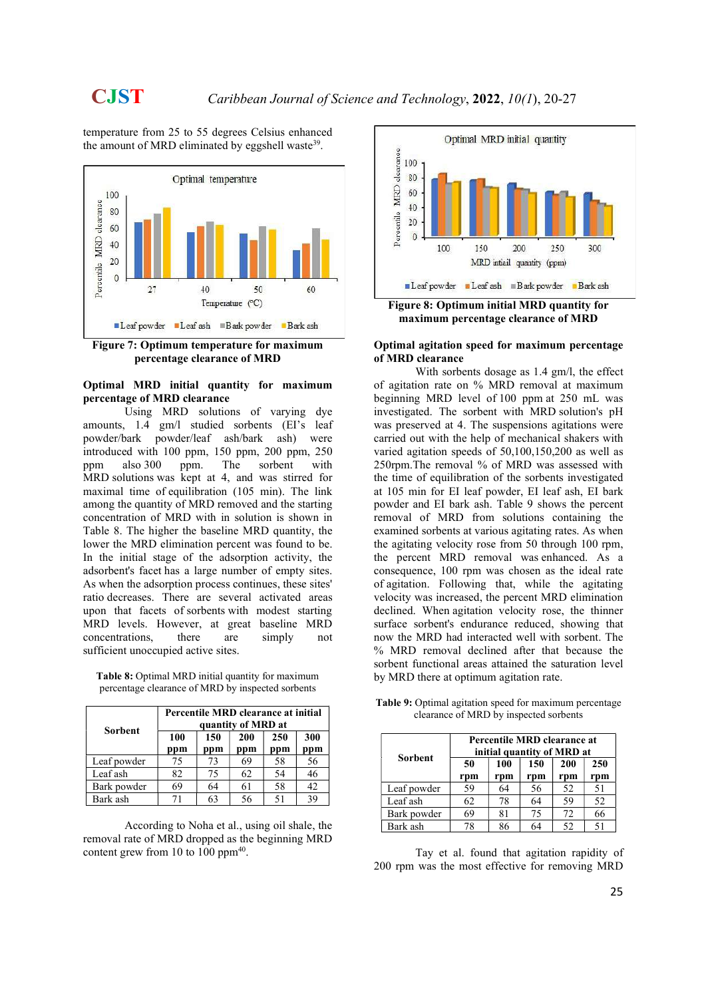temperature from 25 to 55 degrees Celsius enhanced the amount of MRD eliminated by eggshell waste<sup>39</sup>.





### Optimal MRD initial quantity for maximum percentage of MRD clearance

Using MRD solutions of varying dye amounts, 1.4 gm/l studied sorbents (EI's leaf powder/bark powder/leaf ash/bark ash) were introduced with 100 ppm, 150 ppm, 200 ppm, 250 ppm also 300 ppm. The sorbent with MRD solutions was kept at 4, and was stirred for maximal time of equilibration (105 min). The link among the quantity of MRD removed and the starting concentration of MRD with in solution is shown in Table 8. The higher the baseline MRD quantity, the lower the MRD elimination percent was found to be. In the initial stage of the adsorption activity, the adsorbent's facet has a large number of empty sites. As when the adsorption process continues, these sites' ratio decreases. There are several activated areas upon that facets of sorbents with modest starting MRD levels. However, at great baseline MRD concentrations, there are simply not sufficient unoccupied active sites.

Table 8: Optimal MRD initial quantity for maximum percentage clearance of MRD by inspected sorbents

| <b>Sorbent</b> | Percentile MRD clearance at initial<br>quantity of MRD at |            |            |            |            |  |
|----------------|-----------------------------------------------------------|------------|------------|------------|------------|--|
|                | 100<br>ppm                                                | 150<br>ppm | 200<br>ppm | 250<br>ppm | 300<br>ppm |  |
| Leaf powder    | 75                                                        | 73         | 69         | 58         | 56         |  |
| Leaf ash       | 82.                                                       | 75         | 62         | 54         | 46         |  |
| Bark powder    | 69                                                        | 64         | 61         | 58         | 42         |  |
| Bark ash       | 71                                                        | 63         | 56         | 51         | ٦q         |  |

According to Noha et al., using oil shale, the removal rate of MRD dropped as the beginning MRD content grew from 10 to 100 ppm $40$ .



Figure 8: Optimum initial MRD quantity for maximum percentage clearance of MRD

### Optimal agitation speed for maximum percentage of MRD clearance

With sorbents dosage as 1.4 gm/l, the effect of agitation rate on % MRD removal at maximum beginning MRD level of 100 ppm at 250 mL was investigated. The sorbent with MRD solution's pH was preserved at 4. The suspensions agitations were carried out with the help of mechanical shakers with varied agitation speeds of 50,100,150,200 as well as 250rpm.The removal % of MRD was assessed with the time of equilibration of the sorbents investigated at 105 min for EI leaf powder, EI leaf ash, EI bark powder and EI bark ash. Table 9 shows the percent removal of MRD from solutions containing the examined sorbents at various agitating rates. As when the agitating velocity rose from 50 through 100 rpm, the percent MRD removal was enhanced. As a consequence, 100 rpm was chosen as the ideal rate of agitation. Following that, while the agitating velocity was increased, the percent MRD elimination declined. When agitation velocity rose, the thinner surface sorbent's endurance reduced, showing that now the MRD had interacted well with sorbent. The % MRD removal declined after that because the sorbent functional areas attained the saturation level by MRD there at optimum agitation rate.

|                | Percentile MRD clearance at<br>initial quantity of MRD at |            |            |            |            |  |
|----------------|-----------------------------------------------------------|------------|------------|------------|------------|--|
| <b>Sorbent</b> | 50<br>rpm                                                 | 100<br>rpm | 150<br>rpm | 200<br>rpm | 250<br>rpm |  |
| Leaf powder    | 59                                                        | 64         | 56         | 52         | 51         |  |
| Leaf ash       | 62                                                        | 78         | 64         | 59         | 52         |  |
| Bark powder    | 69                                                        | 81         | 75         | 72         | 66         |  |
| Bark ash       | 78                                                        | 86         | 64         | 52         | 51         |  |

Table 9: Optimal agitation speed for maximum percentage clearance of MRD by inspected sorbents

Tay et al. found that agitation rapidity of 200 rpm was the most effective for removing MRD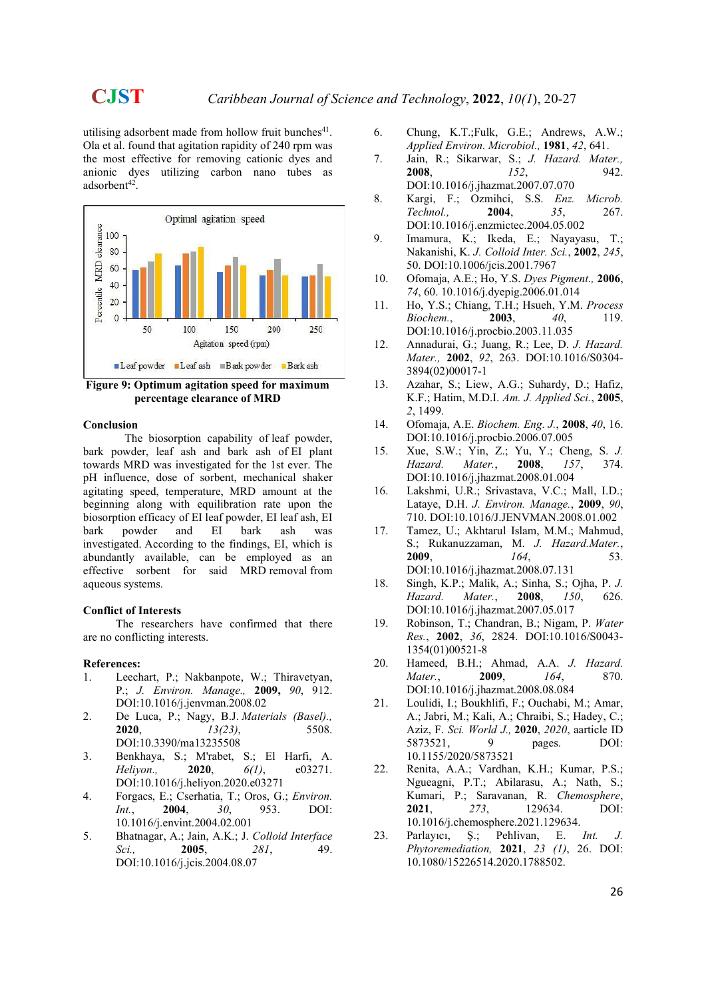utilising adsorbent made from hollow fruit bunches<sup>41</sup>. Ola et al. found that agitation rapidity of 240 rpm was the most effective for removing cationic dyes and anionic dyes utilizing carbon nano tubes as adsorbent<sup>42</sup>.



Figure 9: Optimum agitation speed for maximum percentage clearance of MRD

### Conclusion

The biosorption capability of leaf powder, bark powder, leaf ash and bark ash of EI plant towards MRD was investigated for the 1st ever. The pH influence, dose of sorbent, mechanical shaker agitating speed, temperature, MRD amount at the beginning along with equilibration rate upon the biosorption efficacy of EI leaf powder, EI leaf ash, EI bark powder and EI bark ash was investigated. According to the findings, EI, which is abundantly available, can be employed as an effective sorbent for said MRD removal from aqueous systems.

### Conflict of Interests

The researchers have confirmed that there are no conflicting interests.

### References:

- 1. Leechart, P.; Nakbanpote, W.; Thiravetyan, P.; J. Environ. Manage., 2009, 90, 912. DOI:10.1016/j.jenvman.2008.02
- 2. De Luca, P.; Nagy, B.J. Materials (Basel)., **2020,**  $13(23)$ , 5508. DOI:10.3390/ma13235508
- 3. Benkhaya, S.; M'rabet, S.; El Harfi, A. Heliyon., **2020**, *6(1)*, e03271. DOI:10.1016/j.heliyon.2020.e03271
- 4. Forgacs, E.; Cserhatia, T.; Oros, G.; Environ. Int., **2004**, 30, 953. DOI: 10.1016/j.envint.2004.02.001
- 5. Bhatnagar, A.; Jain, A.K.; J. Colloid Interface Sci., **2005**, 281, 49. DOI:10.1016/j.jcis.2004.08.07
- 6. Chung, K.T.;Fulk, G.E.; Andrews, A.W.; Applied Environ. Microbiol., 1981, 42, 641.
- 7. Jain, R.; Sikarwar, S.; J. Hazard. Mater., 2008, 152, 942. DOI:10.1016/j.jhazmat.2007.07.070
- 8. Kargi, F.; Ozmihci, S.S. Enz. Microb. Technol., **2004**, **35, 267.** DOI:10.1016/j.enzmictec.2004.05.002
- 9. Imamura, K.; Ikeda, E.; Nayayasu, T.; Nakanishi, K. J. Colloid Inter. Sci., 2002, 245, 50. DOI:10.1006/jcis.2001.7967
- 10. Ofomaja, A.E.; Ho, Y.S. Dyes Pigment., 2006, 74, 60. 10.1016/j.dyepig.2006.01.014
- 11. Ho, Y.S.; Chiang, T.H.; Hsueh, Y.M. Process Biochem., **2003**, *40*, 119. DOI:10.1016/j.procbio.2003.11.035
- 12. Annadurai, G.; Juang, R.; Lee, D. J. Hazard. Mater., 2002, 92, 263. DOI:10.1016/S0304- 3894(02)00017-1
- 13. Azahar, S.; Liew, A.G.; Suhardy, D.; Hafiz, K.F.; Hatim, M.D.I. Am. J. Applied Sci., 2005, 2, 1499.
- 14. Ofomaja, A.E. Biochem. Eng. J., 2008, 40, 16. DOI:10.1016/j.procbio.2006.07.005
- 15. Xue, S.W.; Yin, Z.; Yu, Y.; Cheng, S. J. Hazard. Mater., 2008, 157, 374. DOI:10.1016/j.jhazmat.2008.01.004
- 16. Lakshmi, U.R.; Srivastava, V.C.; Mall, I.D.; Lataye, D.H. J. Environ. Manage., 2009, 90, 710. DOI:10.1016/J.JENVMAN.2008.01.002
- 17. Tamez, U.; Akhtarul Islam, M.M.; Mahmud, S.; Rukanuzzaman, M. J. Hazard.Mater., 2009, 164, 53. DOI:10.1016/j.jhazmat.2008.07.131
- 18. Singh, K.P.; Malik, A.; Sinha, S.; Ojha, P. J. Hazard. Mater., **2008**, 150, 626. DOI:10.1016/j.jhazmat.2007.05.017
- 19. Robinson, T.; Chandran, B.; Nigam, P. Water Res., 2002, 36, 2824. DOI:10.1016/S0043- 1354(01)00521-8
- 20. Hameed, B.H.; Ahmad, A.A. J. Hazard. Mater., 2009, 164, 870. DOI:10.1016/j.jhazmat.2008.08.084
- 21. Loulidi, I.; Boukhlifi, F.; Ouchabi, M.; Amar, A.; Jabri, M.; Kali, A.; Chraibi, S.; Hadey, C.; Aziz, F. Sci. World J., 2020, 2020, aarticle ID 5873521, 9 pages. DOI: 10.1155/2020/5873521
- 22. Renita, A.A.; Vardhan, K.H.; Kumar, P.S.; Ngueagni, P.T.; Abilarasu, A.; Nath, S.; Kumari, P.; Saravanan, R. Chemosphere, 2021, 273, 129634. DOI: 10.1016/j.chemosphere.2021.129634.
- 23. Parlayıcı, Ş.; Pehlivan, E. Int. J. Phytoremediation, 2021, 23 (1), 26. DOI: 10.1080/15226514.2020.1788502.